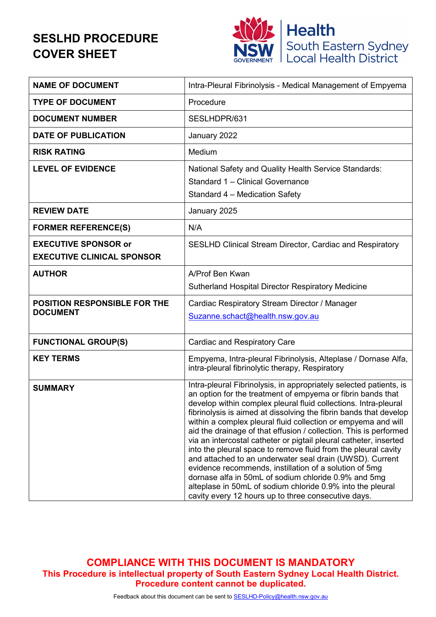### **SESLHD PROCEDURE COVER SHEET**



| <b>NAME OF DOCUMENT</b>                                          | Intra-Pleural Fibrinolysis - Medical Management of Empyema                                                                                                                                                                                                                                                                                                                                                                                                                                                                                                                                                                                                                                                                                                                                                                                                |
|------------------------------------------------------------------|-----------------------------------------------------------------------------------------------------------------------------------------------------------------------------------------------------------------------------------------------------------------------------------------------------------------------------------------------------------------------------------------------------------------------------------------------------------------------------------------------------------------------------------------------------------------------------------------------------------------------------------------------------------------------------------------------------------------------------------------------------------------------------------------------------------------------------------------------------------|
| <b>TYPE OF DOCUMENT</b>                                          | Procedure                                                                                                                                                                                                                                                                                                                                                                                                                                                                                                                                                                                                                                                                                                                                                                                                                                                 |
| <b>DOCUMENT NUMBER</b>                                           | SESLHDPR/631                                                                                                                                                                                                                                                                                                                                                                                                                                                                                                                                                                                                                                                                                                                                                                                                                                              |
| <b>DATE OF PUBLICATION</b>                                       | January 2022                                                                                                                                                                                                                                                                                                                                                                                                                                                                                                                                                                                                                                                                                                                                                                                                                                              |
| <b>RISK RATING</b>                                               | Medium                                                                                                                                                                                                                                                                                                                                                                                                                                                                                                                                                                                                                                                                                                                                                                                                                                                    |
| <b>LEVEL OF EVIDENCE</b>                                         | National Safety and Quality Health Service Standards:<br>Standard 1 - Clinical Governance<br>Standard 4 - Medication Safety                                                                                                                                                                                                                                                                                                                                                                                                                                                                                                                                                                                                                                                                                                                               |
| <b>REVIEW DATE</b>                                               | January 2025                                                                                                                                                                                                                                                                                                                                                                                                                                                                                                                                                                                                                                                                                                                                                                                                                                              |
| <b>FORMER REFERENCE(S)</b>                                       | N/A                                                                                                                                                                                                                                                                                                                                                                                                                                                                                                                                                                                                                                                                                                                                                                                                                                                       |
| <b>EXECUTIVE SPONSOR or</b><br><b>EXECUTIVE CLINICAL SPONSOR</b> | <b>SESLHD Clinical Stream Director, Cardiac and Respiratory</b>                                                                                                                                                                                                                                                                                                                                                                                                                                                                                                                                                                                                                                                                                                                                                                                           |
| <b>AUTHOR</b>                                                    | A/Prof Ben Kwan<br><b>Sutherland Hospital Director Respiratory Medicine</b>                                                                                                                                                                                                                                                                                                                                                                                                                                                                                                                                                                                                                                                                                                                                                                               |
| <b>POSITION RESPONSIBLE FOR THE</b><br><b>DOCUMENT</b>           | Cardiac Respiratory Stream Director / Manager<br>Suzanne.schact@health.nsw.gov.au                                                                                                                                                                                                                                                                                                                                                                                                                                                                                                                                                                                                                                                                                                                                                                         |
| <b>FUNCTIONAL GROUP(S)</b>                                       | <b>Cardiac and Respiratory Care</b>                                                                                                                                                                                                                                                                                                                                                                                                                                                                                                                                                                                                                                                                                                                                                                                                                       |
| <b>KEY TERMS</b>                                                 | Empyema, Intra-pleural Fibrinolysis, Alteplase / Dornase Alfa,<br>intra-pleural fibrinolytic therapy, Respiratory                                                                                                                                                                                                                                                                                                                                                                                                                                                                                                                                                                                                                                                                                                                                         |
| <b>SUMMARY</b>                                                   | Intra-pleural Fibrinolysis, in appropriately selected patients, is<br>an option for the treatment of empyema or fibrin bands that<br>develop within complex pleural fluid collections. Intra-pleural<br>fibrinolysis is aimed at dissolving the fibrin bands that develop<br>within a complex pleural fluid collection or empyema and will<br>aid the drainage of that effusion / collection. This is performed<br>via an intercostal catheter or pigtail pleural catheter, inserted<br>into the pleural space to remove fluid from the pleural cavity<br>and attached to an underwater seal drain (UWSD). Current<br>evidence recommends, instillation of a solution of 5mg<br>dornase alfa in 50mL of sodium chloride 0.9% and 5mg<br>alteplase in 50mL of sodium chloride 0.9% into the pleural<br>cavity every 12 hours up to three consecutive days. |

**COMPLIANCE WITH THIS DOCUMENT IS MANDATORY This Procedure is intellectual property of South Eastern Sydney Local Health District. Procedure content cannot be duplicated.**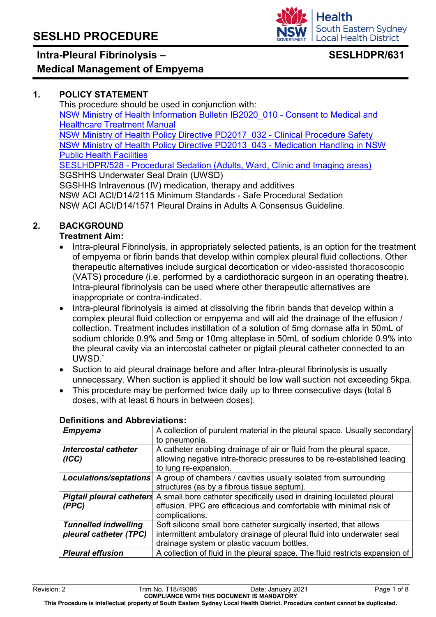### **Intra-Pleural Fibrinolysis –**

#### **Health South Eastern Sydney Local Health District**

### **SESLHDPR/631**

# **Medical Management of Empyema**

#### **1. POLICY STATEMENT**

This procedure should be used in conjunction with: [NSW Ministry of Health Information Bulletin](https://www1.health.nsw.gov.au/pds/Pages/doc.aspx?dn=IB2020_010) IB2020\_010 - Consent to Medical and [Healthcare Treatment Manual](https://www1.health.nsw.gov.au/pds/Pages/doc.aspx?dn=IB2020_010) [NSW Ministry of Health Policy Directive PD2017\\_032 -](https://www1.health.nsw.gov.au/pds/Pages/doc.aspx?dn=PD2017_032) Clinical Procedure Safety [NSW Ministry of Health Policy Directive](https://www1.health.nsw.gov.au/pds/Pages/doc.aspx?dn=PD2013_043) PD2013\_043 - Medication Handling in NSW [Public Health Facilities](https://www1.health.nsw.gov.au/pds/Pages/doc.aspx?dn=PD2013_043) SESLHDPR/528 - Procedural [Sedation \(Adults, Ward, Clinic and Imaging areas\)](https://www.seslhd.health.nsw.gov.au/policies-and-publications/functional-group/80) SGSHHS Underwater Seal Drain (UWSD) SGSHHS Intravenous (IV) medication, therapy and additives NSW ACI ACI/D14/2115 Minimum Standards - Safe Procedural Sedation NSW ACI ACI/D14/1571 Pleural Drains in Adults A Consensus Guideline.

#### **2. BACKGROUND**

#### **Treatment Aim:**

- Intra-pleural Fibrinolysis, in appropriately selected patients, is an option for the treatment of empyema or fibrin bands that develop within complex pleural fluid collections. Other therapeutic alternatives include surgical decortication or video-assisted thoracoscopic (VATS) procedure (i.e. performed by a cardiothoracic surgeon in an operating theatre). Intra-pleural fibrinolysis can be used where other therapeutic alternatives are inappropriate or contra-indicated.
- Intra-pleural fibrinolysis is aimed at dissolving the fibrin bands that develop within a complex pleural fluid collection or empyema and will aid the drainage of the effusion / collection. Treatment includes instillation of a solution of 5mg dornase alfa in 50mL of sodium chloride 0.9% and 5mg or 10mg alteplase in 50mL of sodium chloride 0.9% into the pleural cavity via an intercostal catheter or pigtail pleural catheter connected to an UWSD. \*
- Suction to aid pleural drainage before and after Intra-pleural fibrinolysis is usually unnecessary. When suction is applied it should be low wall suction not exceeding 5kpa.
- This procedure may be performed twice daily up to three consecutive days (total 6 doses, with at least 6 hours in between doses).

| <b>Empyema</b>              | A collection of purulent material in the pleural space. Usually secondary                              |
|-----------------------------|--------------------------------------------------------------------------------------------------------|
|                             | to pneumonia.                                                                                          |
| <b>Intercostal catheter</b> | A catheter enabling drainage of air or fluid from the pleural space,                                   |
| (ICC)                       | allowing negative intra-thoracic pressures to be re-established leading                                |
|                             | to lung re-expansion.                                                                                  |
| Loculations/septations      | A group of chambers / cavities usually isolated from surrounding                                       |
|                             | structures (as by a fibrous tissue septum).                                                            |
|                             | <b>Pigtail pleural catheters</b> A small bore catheter specifically used in draining loculated pleural |
| (PPC)                       | effusion. PPC are efficacious and comfortable with minimal risk of                                     |
|                             | complications.                                                                                         |
| <b>Tunnelled indwelling</b> | Soft silicone small bore catheter surgically inserted, that allows                                     |
| pleural catheter (TPC)      | intermittent ambulatory drainage of pleural fluid into underwater seal                                 |
|                             | drainage system or plastic vacuum bottles.                                                             |
| <b>Pleural effusion</b>     | A collection of fluid in the pleural space. The fluid restricts expansion of                           |

#### **Definitions and Abbreviations:**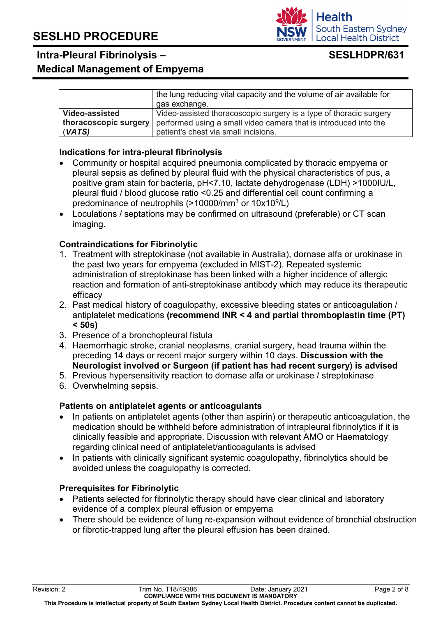**Intra-Pleural Fibrinolysis –**

#### **Medical Management of Empyema**

|                | the lung reducing vital capacity and the volume of air available for<br>gas exchange.         |
|----------------|-----------------------------------------------------------------------------------------------|
| Video-assisted | Video-assisted thoracoscopic surgery is a type of thoracic surgery                            |
|                | <b>thoracoscopic surgery</b> performed using a small video camera that is introduced into the |
| (VATS)         | patient's chest via small incisions.                                                          |

#### **Indications for intra-pleural fibrinolysis**

- Community or hospital acquired pneumonia complicated by thoracic empyema or pleural sepsis as defined by pleural fluid with the physical characteristics of pus, a positive gram stain for bacteria, pH<7.10, lactate dehydrogenase (LDH) >1000IU/L, pleural fluid / blood glucose ratio <0.25 and differential cell count confirming a predominance of neutrophils (>10000/mm<sup>3</sup> or 10x10<sup>9</sup>/L)
- Loculations / septations may be confirmed on ultrasound (preferable) or CT scan imaging.

#### **Contraindications for Fibrinolytic**

- 1. Treatment with streptokinase (not available in Australia), dornase alfa or urokinase in the past two years for empyema (excluded in MIST-2). Repeated systemic administration of streptokinase has been linked with a higher incidence of allergic reaction and formation of anti-streptokinase antibody which may reduce its therapeutic efficacy
- 2. Past medical history of coagulopathy, excessive bleeding states or anticoagulation / antiplatelet medications **(recommend INR < 4 and partial thromboplastin time (PT) < 50s)**
- 3. Presence of a bronchopleural fistula
- 4. Haemorrhagic stroke, cranial neoplasms, cranial surgery, head trauma within the preceding 14 days or recent major surgery within 10 days. **Discussion with the Neurologist involved or Surgeon (if patient has had recent surgery) is advised**
- 5. Previous hypersensitivity reaction to dornase alfa or urokinase / streptokinase
- 6. Overwhelming sepsis.

#### **Patients on antiplatelet agents or anticoagulants**

- In patients on antiplatelet agents (other than aspirin) or therapeutic anticoagulation, the medication should be withheld before administration of intrapleural fibrinolytics if it is clinically feasible and appropriate. Discussion with relevant AMO or Haematology regarding clinical need of antiplatelet/anticoagulants is advised
- In patients with clinically significant systemic coagulopathy, fibrinolytics should be avoided unless the coagulopathy is corrected.

#### **Prerequisites for Fibrinolytic**

- Patients selected for fibrinolytic therapy should have clear clinical and laboratory evidence of a complex pleural effusion or empyema
- There should be evidence of lung re-expansion without evidence of bronchial obstruction or fibrotic-trapped lung after the pleural effusion has been drained.

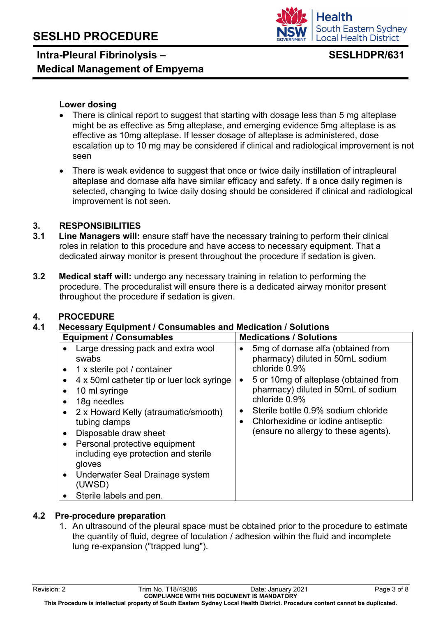### **Intra-Pleural Fibrinolysis – Medical Management of Empyema**

#### **Lower dosing**

- There is clinical report to suggest that starting with dosage less than 5 mg alteplase might be as effective as 5mg alteplase, and emerging evidence 5mg alteplase is as effective as 10mg alteplase. If lesser dosage of alteplase is administered, dose escalation up to 10 mg may be considered if clinical and radiological improvement is not seen
- There is weak evidence to suggest that once or twice daily instillation of intrapleural alteplase and dornase alfa have similar efficacy and safety. If a once daily regimen is selected, changing to twice daily dosing should be considered if clinical and radiological improvement is not seen.

#### **3. RESPONSIBILITIES**

- **3.1 Line Managers will:** ensure staff have the necessary training to perform their clinical roles in relation to this procedure and have access to necessary equipment. That a dedicated airway monitor is present throughout the procedure if sedation is given.
- **3.2 Medical staff will:** undergo any necessary training in relation to performing the procedure. The proceduralist will ensure there is a dedicated airway monitor present throughout the procedure if sedation is given.

#### **4. PROCEDURE**

#### **4.1 Necessary Equipment / Consumables and Medication / Solutions**

| <b>Equipment / Consumables</b>                                                                                                                                                                                                                                                                                                                                                                                                               | <b>Medications / Solutions</b>                                                                                                                                                                                                                                                                                             |
|----------------------------------------------------------------------------------------------------------------------------------------------------------------------------------------------------------------------------------------------------------------------------------------------------------------------------------------------------------------------------------------------------------------------------------------------|----------------------------------------------------------------------------------------------------------------------------------------------------------------------------------------------------------------------------------------------------------------------------------------------------------------------------|
| Large dressing pack and extra wool<br>swabs<br>1 x sterile pot / container<br>$\bullet$<br>4 x 50ml catheter tip or luer lock syringe<br>10 ml syringe<br>18g needles<br>2 x Howard Kelly (atraumatic/smooth)<br>tubing clamps<br>Disposable draw sheet<br>Personal protective equipment<br>$\bullet$<br>including eye protection and sterile<br>gloves<br>Underwater Seal Drainage system<br>$\bullet$<br>(UWSD)<br>Sterile labels and pen. | 5mg of dornase alfa (obtained from<br>pharmacy) diluted in 50mL sodium<br>chloride 0.9%<br>5 or 10mg of alteplase (obtained from<br>pharmacy) diluted in 50mL of sodium<br>chloride 0.9%<br>Sterile bottle 0.9% sodium chloride<br>$\bullet$<br>Chlorhexidine or iodine antiseptic<br>(ensure no allergy to these agents). |

#### **4.2 Pre-procedure preparation**

1. An ultrasound of the pleural space must be obtained prior to the procedure to estimate the quantity of fluid, degree of loculation / adhesion within the fluid and incomplete lung re-expansion ("trapped lung").

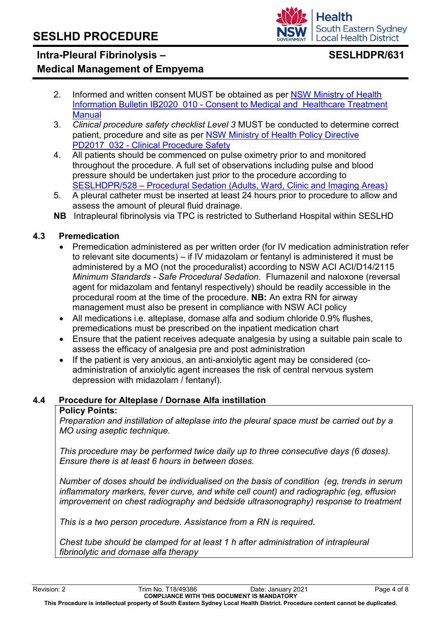#### **Health South Eastern Sydney Local Health District**

#### **Intra-Pleural Fibrinolysis – Medical Management of Empyema**

### **SESLHDPR/631**

- 2. Informed and written consent MUST be obtained as per [NSW Ministry of Health](https://www1.health.nsw.gov.au/pds/Pages/doc.aspx?dn=IB2020_010)  Information Bulletin IB2020\_010 - [Consent to Medical and Healthcare Treatment](https://www1.health.nsw.gov.au/pds/Pages/doc.aspx?dn=IB2020_010)  **Manual**
- 3. *Clinical procedure safety checklist Level 3* MUST be conducted to determine correct patient, procedure and site as per [NSW Ministry of Health Policy Directive](https://www1.health.nsw.gov.au/pds/Pages/doc.aspx?dn=PD2017_032) PD2017\_032 - [Clinical Procedure Safety](https://www1.health.nsw.gov.au/pds/Pages/doc.aspx?dn=PD2017_032)
- 4. All patients should be commenced on pulse oximetry prior to and monitored throughout the procedure. A full set of observations including pulse and blood pressure should be undertaken just prior to the procedure according to SESLHDPR/528 – [Procedural Sedation \(Adults, Ward, Clinic and Imaging Areas\)](https://www.seslhd.health.nsw.gov.au/policies-and-publications/functional-group/80)
- 5. A pleural catheter must be inserted at least 24 hours prior to procedure to allow and assess the amount of pleural fluid drainage.
- **NB** Intrapleural fibrinolysis via TPC is restricted to Sutherland Hospital within SESLHD

#### **4.3 Premedication**

- Premedication administered as per written order (for IV medication administration refer to relevant site documents) – if IV midazolam or fentanyl is administered it must be administered by a MO (not the proceduralist) according to NSW ACI ACI/D14/2115 *Minimum Standards - Safe Procedural Sedation*. Flumazenil and naloxone (reversal agent for midazolam and fentanyl respectively) should be readily accessible in the procedural room at the time of the procedure. **NB:** An extra RN for airway management must also be present in compliance with NSW ACI policy
- All medications i.e. alteplase, dornase alfa and sodium chloride 0.9% flushes, premedications must be prescribed on the inpatient medication chart
- Ensure that the patient receives adequate analgesia by using a suitable pain scale to assess the efficacy of analgesia pre and post administration
- If the patient is very anxious, an anti-anxiolytic agent may be considered (coadministration of anxiolytic agent increases the risk of central nervous system depression with midazolam / fentanyl).

#### **4.4 Procedure for Alteplase / Dornase Alfa instillation**

#### **Policy Points:**

*Preparation and instillation of alteplase into the pleural space must be carried out by a MO using aseptic technique.* 

*This procedure may be performed twice daily up to three consecutive days (6 doses). Ensure there is at least 6 hours in between doses.*

*Number of doses should be individualised on the basis of condition (eg, trends in serum inflammatory markers, fever curve, and white cell count) and radiographic (eg, effusion improvement on chest radiography and bedside ultrasonography) response to treatment*

*This is a two person procedure. Assistance from a RN is required.*

*Chest tube should be clamped for at least 1 h after administration of intrapleural fibrinolytic and dornase alfa therapy*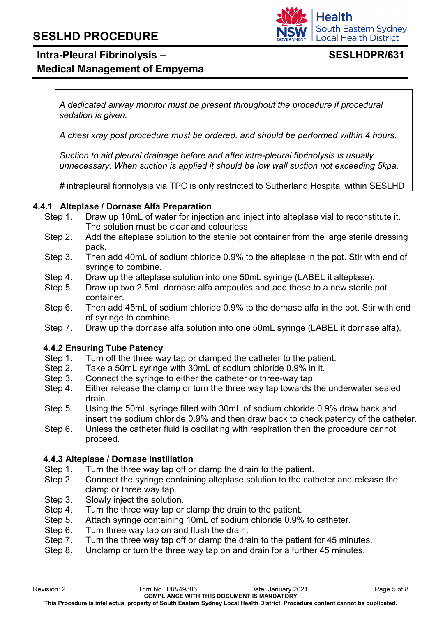## **Intra-Pleural Fibrinolysis –**

**Medical Management of Empyema**

*A dedicated airway monitor must be present throughout the procedure if procedural sedation is given.*

*A chest xray post procedure must be ordered, and should be performed within 4 hours.*

*Suction to aid pleural drainage before and after intra-pleural fibrinolysis is usually unnecessary. When suction is applied it should be low wall suction not exceeding 5kpa.*

*#* intrapleural fibrinolysis via TPC is only restricted to Sutherland Hospital within SESLHD

#### **4.4.1 Alteplase / Dornase Alfa Preparation**

- Step 1. Draw up 10mL of water for injection and inject into alteplase vial to reconstitute it. The solution must be clear and colourless.
- Step 2. Add the alteplase solution to the sterile pot container from the large sterile dressing pack.
- Step 3. Then add 40mL of sodium chloride 0.9% to the alteplase in the pot. Stir with end of syringe to combine.
- Step 4. Draw up the alteplase solution into one 50mL syringe (LABEL it alteplase).
- Step 5. Draw up two 2.5mL dornase alfa ampoules and add these to a new sterile pot container.
- Step 6. Then add 45mL of sodium chloride 0.9% to the dornase alfa in the pot. Stir with end of syringe to combine.
- Step 7. Draw up the dornase alfa solution into one 50mL syringe (LABEL it dornase alfa).

#### **4.4.2 Ensuring Tube Patency**

- Step 1. Turn off the three way tap or clamped the catheter to the patient.
- Step 2. Take a 50mL syringe with 30mL of sodium chloride 0.9% in it.
- Step 3. Connect the syringe to either the catheter or three-way tap.
- Step 4. Either release the clamp or turn the three way tap towards the underwater sealed drain.
- Step 5. Using the 50mL syringe filled with 30mL of sodium chloride 0.9% draw back and insert the sodium chloride 0.9% and then draw back to check patency of the catheter.
- Step 6. Unless the catheter fluid is oscillating with respiration then the procedure cannot proceed.

#### **4.4.3 Alteplase / Dornase Instillation**

- Step 1. Turn the three way tap off or clamp the drain to the patient.
- Step 2. Connect the syringe containing alteplase solution to the catheter and release the clamp or three way tap.
- Step 3. Slowly inject the solution.
- Step 4. Turn the three way tap or clamp the drain to the patient.
- Step 5. Attach syringe containing 10mL of sodium chloride 0.9% to catheter.
- Step 6. Turn three way tap on and flush the drain.
- Step 7. Turn the three way tap off or clamp the drain to the patient for 45 minutes.
- Step 8. Unclamp or turn the three way tap on and drain for a further 45 minutes.

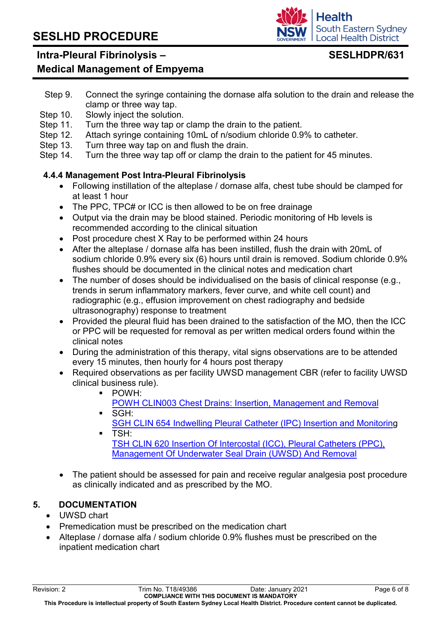#### **Intra-Pleural Fibrinolysis –**

#### **Medical Management of Empyema**

- Step 9. Connect the syringe containing the dornase alfa solution to the drain and release the clamp or three way tap.
- Step 10. Slowly inject the solution.
- Step 11. Turn the three way tap or clamp the drain to the patient.
- Step 12. Attach syringe containing 10mL of n/sodium chloride 0.9% to catheter.
- Step 13. Turn three way tap on and flush the drain.
- Step 14. Turn the three way tap off or clamp the drain to the patient for 45 minutes.

#### **4.4.4 Management Post Intra-Pleural Fibrinolysis**

- Following instillation of the alteplase / dornase alfa, chest tube should be clamped for at least 1 hour
- The PPC, TPC# or ICC is then allowed to be on free drainage
- Output via the drain may be blood stained. Periodic monitoring of Hb levels is recommended according to the clinical situation
- Post procedure chest X Ray to be performed within 24 hours
- After the alteplase / dornase alfa has been instilled, flush the drain with 20mL of sodium chloride 0.9% every six (6) hours until drain is removed. Sodium chloride 0.9% flushes should be documented in the clinical notes and medication chart
- The number of doses should be individualised on the basis of clinical response (e.g., trends in serum inflammatory markers, fever curve, and white cell count) and radiographic (e.g., effusion improvement on chest radiography and bedside ultrasonography) response to treatment
- Provided the pleural fluid has been drained to the satisfaction of the MO, then the ICC or PPC will be requested for removal as per written medical orders found within the clinical notes
- During the administration of this therapy, vital signs observations are to be attended every 15 minutes, then hourly for 4 hours post therapy
- Required observations as per facility UWSD management CBR (refer to facility UWSD) clinical business rule).
	- POWH:
	- [POWH CLIN003 Chest Drains: Insertion, Management and Removal](http://seslhdweb.seslhd.health.nsw.gov.au/powh/cpm/cpm10.asp)  SGH:
	- SGH CLIN [654 Indwelling Pleural Catheter \(IPC\) Insertion and Monitoring](http://seslhdweb.seslhd.health.nsw.gov.au/SGSHHS/Business_Rules/default.asp#I) TSH:

[TSH CLIN 620 Insertion Of Intercostal \(ICC\), Pleural Catheters \(PPC\),](http://seslhdweb.seslhd.health.nsw.gov.au/TSH/Business_Rules/Respiratory/default.asp)  [Management Of Underwater Seal Drain \(UWSD\) And Removal](http://seslhdweb.seslhd.health.nsw.gov.au/TSH/Business_Rules/Respiratory/default.asp)

• The patient should be assessed for pain and receive regular analgesia post procedure as clinically indicated and as prescribed by the MO.

#### **5. DOCUMENTATION**

- UWSD chart
- Premedication must be prescribed on the medication chart
- Alteplase / dornase alfa / sodium chloride 0.9% flushes must be prescribed on the inpatient medication chart

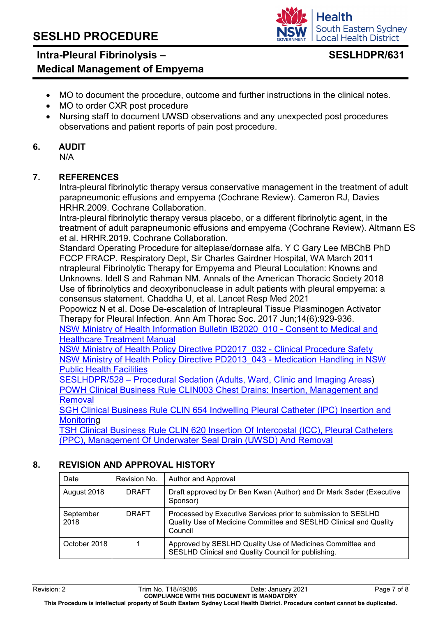#### **Intra-Pleural Fibrinolysis – Medical Management of Empyema**

- MO to document the procedure, outcome and further instructions in the clinical notes. MO to order CXR post procedure
- Nursing staff to document UWSD observations and any unexpected post procedures observations and patient reports of pain post procedure.

#### **6. AUDIT**

N/A

#### **7. REFERENCES**

Intra-pleural fibrinolytic therapy versus conservative management in the treatment of adult parapneumonic effusions and empyema (Cochrane Review). Cameron RJ, Davies HRHR.2009. Cochrane Collaboration.

Intra‐pleural fibrinolytic therapy versus placebo, or a different fibrinolytic agent, in the treatment of adult parapneumonic effusions and empyema (Cochrane Review). Altmann ES et al. HRHR.2019. Cochrane Collaboration.

Standard Operating Procedure for alteplase/dornase alfa. Y C Gary Lee MBChB PhD FCCP FRACP. Respiratory Dept, Sir Charles Gairdner Hospital, WA March 2011 ntrapleural Fibrinolytic Therapy for Empyema and Pleural Loculation: Knowns and Unknowns. Idell S and Rahman NM. Annals of the American Thoracic Society 2018 Use of fibrinolytics and deoxyribonuclease in adult patients with pleural empyema: a consensus statement. Chaddha U, et al. Lancet Resp Med 2021

Popowicz N et al. Dose De-escalation of Intrapleural Tissue Plasminogen Activator Therapy for Pleural Infection. Ann Am Thorac Soc. 2017 Jun;14(6):929-936.

[NSW Ministry of Health Information Bulletin](https://www1.health.nsw.gov.au/pds/Pages/doc.aspx?dn=IB2020_010) IB2020\_010 - Consent to Medical and [Healthcare Treatment Manual](https://www1.health.nsw.gov.au/pds/Pages/doc.aspx?dn=IB2020_010) 

[NSW Ministry of Health Policy Directive](https://www1.health.nsw.gov.au/pds/Pages/doc.aspx?dn=PD2017_032) PD2017 032 - Clinical Procedure Safety [NSW Ministry of Health Policy Directive](https://www1.health.nsw.gov.au/pds/Pages/doc.aspx?dn=PD2013_043) PD2013\_043 - Medication Handling in NSW [Public Health Facilities](https://www1.health.nsw.gov.au/pds/Pages/doc.aspx?dn=PD2013_043)

SESLHDPR/528 – Procedural Sedation [\(Adults, Ward, Clinic and Imaging Areas\)](https://www.seslhd.health.nsw.gov.au/policies-and-publications/functional-group/80) [POWH Clinical Business Rule CLIN003 Chest Drains: Insertion, Management and](http://seslhdweb.seslhd.health.nsw.gov.au/powh/cpm/cpm10.asp)  [Removal](http://seslhdweb.seslhd.health.nsw.gov.au/powh/cpm/cpm10.asp) 

SGH Clinical Business Rule CLIN [654 Indwelling Pleural Catheter \(IPC\) Insertion and](http://seslhdweb.seslhd.health.nsw.gov.au/SGSHHS/Business_Rules/default.asp#I)  **[Monitoring](http://seslhdweb.seslhd.health.nsw.gov.au/SGSHHS/Business_Rules/default.asp#I)** 

[TSH Clinical Business Rule CLIN 620 Insertion Of Intercostal \(ICC\), Pleural Catheters](http://seslhdweb.seslhd.health.nsw.gov.au/TSH/Business_Rules/Respiratory/default.asp)  [\(PPC\), Management Of Underwater Seal Drain \(UWSD\) And Removal](http://seslhdweb.seslhd.health.nsw.gov.au/TSH/Business_Rules/Respiratory/default.asp)

#### **8. REVISION AND APPROVAL HISTORY**

| Date              | Revision No. | <b>Author and Approval</b>                                                                                                                    |
|-------------------|--------------|-----------------------------------------------------------------------------------------------------------------------------------------------|
| August 2018       | <b>DRAFT</b> | Draft approved by Dr Ben Kwan (Author) and Dr Mark Sader (Executive<br>Sponsor)                                                               |
| September<br>2018 | <b>DRAFT</b> | Processed by Executive Services prior to submission to SESLHD<br>Quality Use of Medicine Committee and SESLHD Clinical and Quality<br>Council |
| October 2018      |              | Approved by SESLHD Quality Use of Medicines Committee and<br>SESLHD Clinical and Quality Council for publishing.                              |